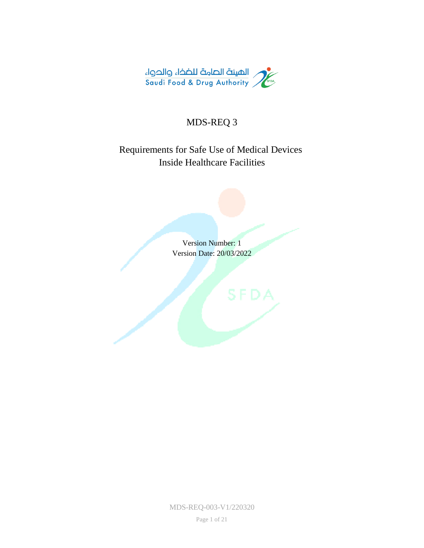

# MDS-REQ 3

# Requirements for Safe Use of Medical Devices Inside Healthcare Facilities

Version Number: 1 Version Date: 20/03/2022

MDS-REQ-003-V1/220320

Page 1 of 21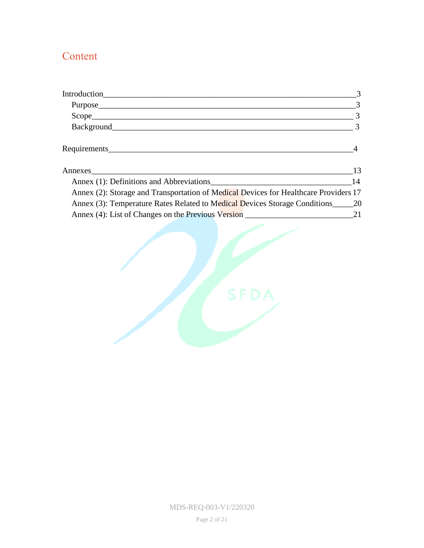# Content

|                                                                                                                                                                                                                               | 3              |
|-------------------------------------------------------------------------------------------------------------------------------------------------------------------------------------------------------------------------------|----------------|
|                                                                                                                                                                                                                               | 3              |
| Scope                                                                                                                                                                                                                         | $\overline{3}$ |
|                                                                                                                                                                                                                               | $\overline{3}$ |
| Requirements expansion of the contract of the contract of the contract of the contract of the contract of the contract of the contract of the contract of the contract of the contract of the contract of the contract of the |                |
|                                                                                                                                                                                                                               | 13             |
| Annex (1): Definitions and Abbreviations                                                                                                                                                                                      | 14             |
| Annex (2): Storage and Transportation of Medical Devices for Healthcare Providers 17                                                                                                                                          |                |
| Annex (3): Temperature Rates Related to Medical Devices Storage Conditions 20                                                                                                                                                 |                |
|                                                                                                                                                                                                                               |                |

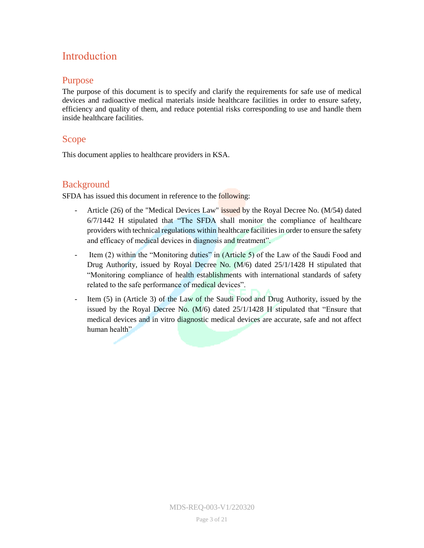# <span id="page-2-0"></span>Introduction

#### <span id="page-2-1"></span>Purpose

The purpose of this document is to specify and clarify the requirements for safe use of medical devices and radioactive medical materials inside healthcare facilities in order to ensure safety, efficiency and quality of them, and reduce potential risks corresponding to use and handle them inside healthcare facilities.

### <span id="page-2-2"></span>Scope<sub></sub>

This document applies to healthcare providers in KSA.

### <span id="page-2-3"></span>**Background**

SFDA has issued this document in reference to the following:

- Article (26) of the "Medical Devices Law" issued by the Royal Decree No. (M/54) dated 6/7/1442 H stipulated that "The SFDA shall monitor the compliance of healthcare providers with technical regulations within healthcare facilities in order to ensure the safety and efficacy of medical devices in diagnosis and treatment".
- Item (2) within the "Monitoring duties" in (Article 5) of the Law of the Saudi Food and Drug Authority, issued by Royal Decree No. (M/6) dated 25/1/1428 H stipulated that "Monitoring compliance of health establishments with international standards of safety related to the safe performance of medical devices".
- <span id="page-2-4"></span>Item (5) in (Article 3) of the Law of the Saudi Food and Drug Authority, issued by the issued by the Royal Decree No. (M/6) dated 25/1/1428 H stipulated that "Ensure that medical devices and in vitro diagnostic medical devices are accurate, safe and not affect human health"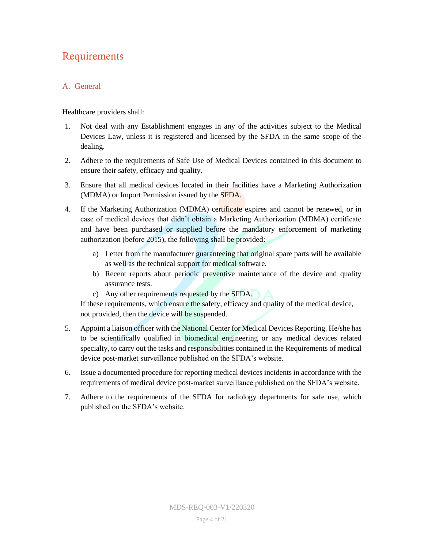# Requirements

### A. General

Healthcare providers shall:

- 1. Not deal with any Establishment engages in any of the activities subject to the Medical Devices Law, unless it is registered and licensed by the SFDA in the same scope of the dealing.
- 2. Adhere to the requirements of Safe Use of Medical Devices contained in this document to ensure their safety, efficacy and quality.
- 3. Ensure that all medical devices located in their facilities have a Marketing Authorization (MDMA) or Import Permission issued by the SFDA.
- 4. If the Marketing Authorization (MDMA) certificate expires and cannot be renewed, or in case of medical devices that didn't obtain a Marketing Authorization (MDMA) certificate and have been purchased or supplied before the mandatory enforcement of marketing authorization (before 2015), the following shall be provided:
	- a) Letter from the manufacturer guaranteeing that original spare parts will be available as well as the technical support for medical software.
	- b) Recent reports about periodic preventive maintenance of the device and quality assurance tests.
	- c) Any other requirements requested by the SFDA.

If these requirements, which ensure the safety, efficacy and quality of the medical device, not provided, then the device will be suspended.

- 5. Appoint a liaison officer with the National Center for Medical Devices Reporting. He/she has to be scientifically qualified in biomedical engineering or any medical devices related specialty, to carry out the tasks and responsibilities contained in the Requirements of medical device post-market surveillance published on the SFDA's website.
- 6. Issue a documented procedure for reporting medical devices incidents in accordance with the requirements of medical device post-market surveillance published on the SFDA's website.
- 7. Adhere to the requirements of the SFDA for radiology departments for safe use, which published on the SFDA's website.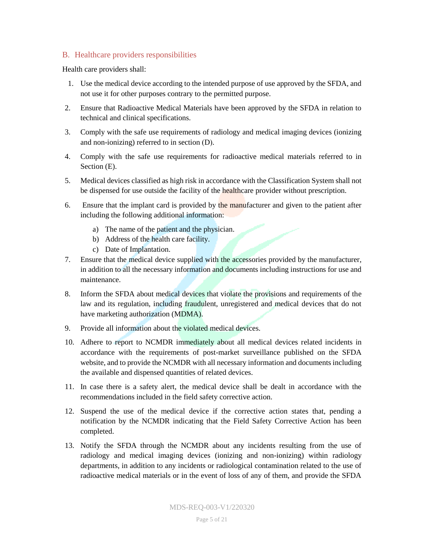#### B. Healthcare providers responsibilities

Health care providers shall:

- 1. Use the medical device according to the intended purpose of use approved by the SFDA, and not use it for other purposes contrary to the permitted purpose.
- 2. Ensure that Radioactive Medical Materials have been approved by the SFDA in relation to technical and clinical specifications.
- 3. Comply with the safe use requirements of radiology and medical imaging devices (ionizing and non-ionizing) referred to in section  $(D)$ .
- 4. Comply with the safe use requirements for radioactive medical materials referred to in Section  $(E)$ .
- 5. Medical devices classified as high risk in accordance with the Classification System shall not be dispensed for use outside the facility of the healthcare provider without prescription.
- 6. Ensure that the implant card is provided by the manufacturer and given to the patient after including the following additional information:
	- a) The name of the patient and the physician.
	- b) Address of the health care facility.
	- c) Date of Implantation.
- 7. Ensure that the medical device supplied with the accessories provided by the manufacturer, in addition to all the necessary information and documents including instructions for use and maintenance.
- 8. Inform the SFDA about medical devices that violate the provisions and requirements of the law and its regulation, including fraudulent, unregistered and medical devices that do not have marketing authorization (MDMA).
- 9. Provide all information about the violated medical devices.
- 10. Adhere to report to NCMDR immediately about all medical devices related incidents in accordance with the requirements of post-market surveillance published on the SFDA website, and to provide the NCMDR with all necessary information and documents including the available and dispensed quantities of related devices.
- 11. In case there is a safety alert, the medical device shall be dealt in accordance with the recommendations included in the field safety corrective action.
- 12. Suspend the use of the medical device if the corrective action states that, pending a notification by the NCMDR indicating that the Field Safety Corrective Action has been completed.
- 13. Notify the SFDA through the NCMDR about any incidents resulting from the use of radiology and medical imaging devices (ionizing and non-ionizing) within radiology departments, in addition to any incidents or radiological contamination related to the use of radioactive medical materials or in the event of loss of any of them, and provide the SFDA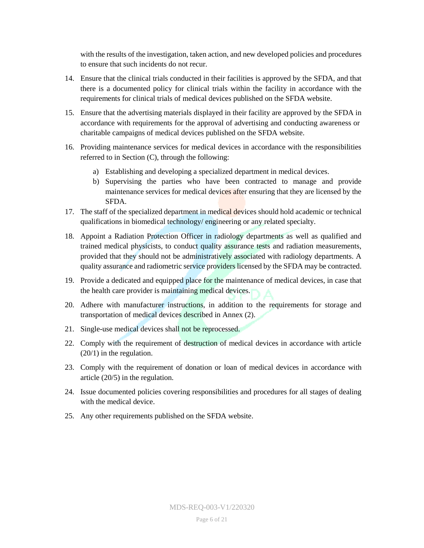with the results of the investigation, taken action, and new developed policies and procedures to ensure that such incidents do not recur.

- 14. Ensure that the clinical trials conducted in their facilities is approved by the SFDA, and that there is a documented policy for clinical trials within the facility in accordance with the requirements for clinical trials of medical devices published on the SFDA website.
- 15. Ensure that the advertising materials displayed in their facility are approved by the SFDA in accordance with requirements for the approval of advertising and conducting awareness or charitable campaigns of medical devices published on the SFDA website.
- 16. Providing maintenance services for medical devices in accordance with the responsibilities referred to in Section (C), through the following:
	- a) Establishing and developing a specialized department in medical devices.
	- b) Supervising the parties who have been contracted to manage and provide maintenance services for medical devices after ensuring that they are licensed by the SFDA.
- 17. The staff of the specialized department in medical devices should hold academic or technical qualifications in biomedical technology/ engineering or any related specialty.
- 18. Appoint a Radiation Protection Officer in radiology departments as well as qualified and trained medical physicists, to conduct quality assurance tests and radiation measurements, provided that they should not be administratively associated with radiology departments. A quality assurance and radiometric service providers licensed by the SFDA may be contracted.
- 19. Provide a dedicated and equipped place for the maintenance of medical devices, in case that the health care provider is maintaining medical devices.
- 20. Adhere with manufacturer instructions, in addition to the requirements for storage and transportation of medical devices described in Annex (2).
- 21. Single-use medical devices shall not be reprocessed.
- 22. Comply with the requirement of destruction of medical devices in accordance with article (20/1) in the regulation.
- 23. Comply with the requirement of donation or loan of medical devices in accordance with article (20/5) in the regulation.
- 24. Issue documented policies covering responsibilities and procedures for all stages of dealing with the medical device.
- 25. Any other requirements published on the SFDA website.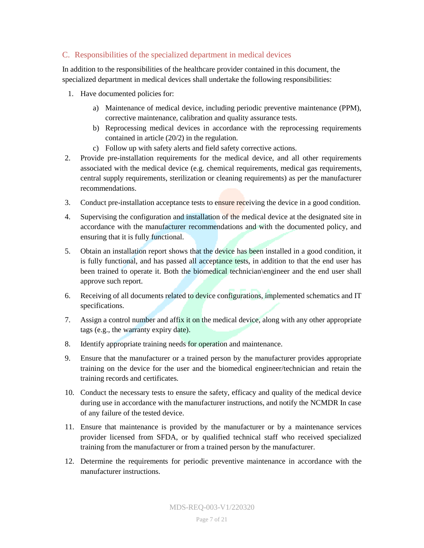#### C. Responsibilities of the specialized department in medical devices

In addition to the responsibilities of the healthcare provider contained in this document, the specialized department in medical devices shall undertake the following responsibilities:

- 1. Have documented policies for:
	- a) Maintenance of medical device, including periodic preventive maintenance (PPM), corrective maintenance, calibration and quality assurance tests.
	- b) Reprocessing medical devices in accordance with the reprocessing requirements contained in article (20/2) in the regulation.
	- c) Follow up with safety alerts and field safety corrective actions.
- 2. Provide pre-installation requirements for the medical device, and all other requirements associated with the medical device (e.g. chemical requirements, medical gas requirements, central supply requirements, sterilization or cleaning requirements) as per the manufacturer recommendations.
- 3. Conduct pre-installation acceptance tests to ensure receiving the device in a good condition.
- 4. Supervising the configuration and installation of the medical device at the designated site in accordance with the manufacturer recommendations and with the documented policy, and ensuring that it is fully functional.
- 5. Obtain an installation report shows that the device has been installed in a good condition, it is fully functional, and has passed all acceptance tests, in addition to that the end user has been trained to operate it. Both the biomedical technician\engineer and the end user shall approve such report.
- 6. Receiving of all documents related to device configurations, implemented schematics and IT specifications.
- 7. Assign a control number and affix it on the medical device, along with any other appropriate tags (e.g., the warranty expiry date).
- 8. Identify appropriate training needs for operation and maintenance.
- 9. Ensure that the manufacturer or a trained person by the manufacturer provides appropriate training on the device for the user and the biomedical engineer/technician and retain the training records and certificates.
- 10. Conduct the necessary tests to ensure the safety, efficacy and quality of the medical device during use in accordance with the manufacturer instructions, and notify the NCMDR In case of any failure of the tested device.
- 11. Ensure that maintenance is provided by the manufacturer or by a maintenance services provider licensed from SFDA, or by qualified technical staff who received specialized training from the manufacturer or from a trained person by the manufacturer.
- 12. Determine the requirements for periodic preventive maintenance in accordance with the manufacturer instructions.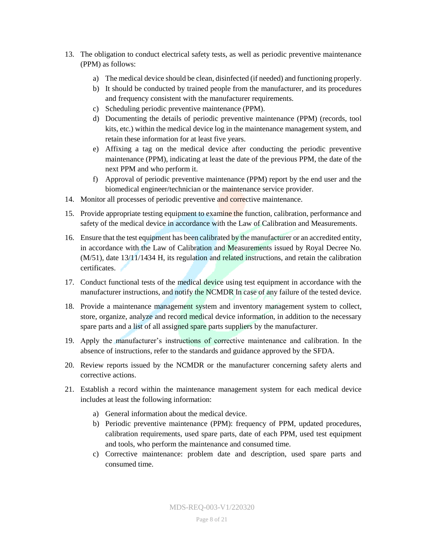- 13. The obligation to conduct electrical safety tests, as well as periodic preventive maintenance (PPM) as follows:
	- a) The medical device should be clean, disinfected (if needed) and functioning properly.
	- b) It should be conducted by trained people from the manufacturer, and its procedures and frequency consistent with the manufacturer requirements.
	- c) Scheduling periodic preventive maintenance (PPM).
	- d) Documenting the details of periodic preventive maintenance (PPM) (records, tool kits, etc.) within the medical device log in the maintenance management system, and retain these information for at least five years.
	- e) Affixing a tag on the medical device after conducting the periodic preventive maintenance (PPM), indicating at least the date of the previous PPM, the date of the next PPM and who perform it.
	- f) Approval of periodic preventive maintenance (PPM) report by the end user and the biomedical engineer/technician or the maintenance service provider.
- 14. Monitor all processes of periodic preventive and corrective maintenance.
- 15. Provide appropriate testing equipment to examine the function, calibration, performance and safety of the medical device in accordance with the Law of Calibration and Measurements.
- 16. Ensure that the test equipment has been calibrated by the manufacturer or an accredited entity, in accordance with the Law of Calibration and Measurements issued by Royal Decree No.  $(M/51)$ , date 13/11/1434 H, its regulation and related instructions, and retain the calibration certificates.
- 17. Conduct functional tests of the medical device using test equipment in accordance with the manufacturer instructions, and notify the NCMDR In case of any failure of the tested device.
- 18. Provide a maintenance management system and inventory management system to collect, store, organize, analyze and record medical device information, in addition to the necessary spare parts and a list of all assigned spare parts suppliers by the manufacturer.
- 19. Apply the manufacturer's instructions of corrective maintenance and calibration. In the absence of instructions, refer to the standards and guidance approved by the SFDA.
- 20. Review reports issued by the NCMDR or the manufacturer concerning safety alerts and corrective actions.
- 21. Establish a record within the maintenance management system for each medical device includes at least the following information:
	- a) General information about the medical device.
	- b) Periodic preventive maintenance (PPM): frequency of PPM, updated procedures, calibration requirements, used spare parts, date of each PPM, used test equipment and tools, who perform the maintenance and consumed time.
	- c) Corrective maintenance: problem date and description, used spare parts and consumed time.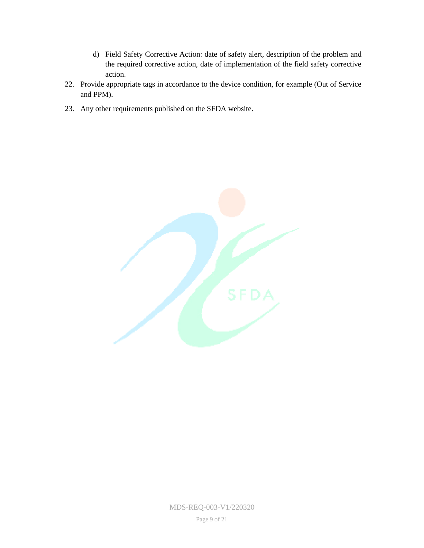- d) Field Safety Corrective Action: date of safety alert, description of the problem and the required corrective action, date of implementation of the field safety corrective action.
- 22. Provide appropriate tags in accordance to the device condition, for example (Out of Service and PPM).
- 23. Any other requirements published on the SFDA website.



MDS-REQ-003-V1/220320

Page 9 of 21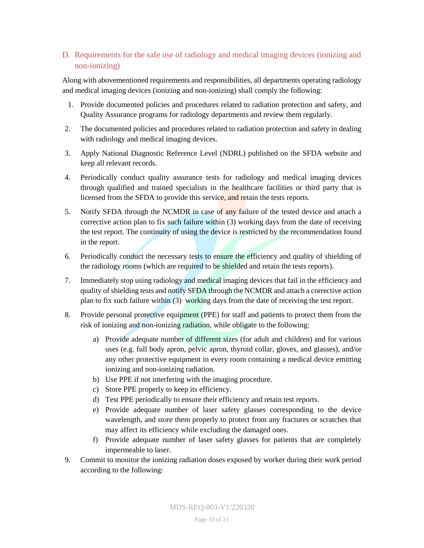#### D. Requirements for the safe use of radiology and medical imaging devices (ionizing and non-ionizing)

Along with abovementioned requirements and responsibilities, all departments operating radiology and medical imaging devices (ionizing and non-ionizing) shall comply the following:

- 1. Provide documented policies and procedures related to radiation protection and safety, and Quality Assurance programs for radiology departments and review them regularly.
- 2. The documented policies and procedures related to radiation protection and safety in dealing with radiology and medical imaging devices.
- 3. Apply National Diagnostic Reference Level (NDRL) published on the SFDA website and keep all relevant records.
- 4. Periodically conduct quality assurance tests for radiology and medical imaging devices through qualified and trained specialists in the healthcare facilities or third party that is licensed from the SFDA to provide this service, and retain the tests reports.
- 5. Notify SFDA through the NCMDR in case of any failure of the tested device and attach a corrective action plan to fix such failure within (3) working days from the date of receiving the test report. The continuity of using the device is restricted by the recommendation found in the report.
- 6. Periodically conduct the necessary tests to ensure the efficiency and quality of shielding of the radiology rooms (which are required to be shielded and retain the tests reports).
- 7. Immediately stop using radiology and medical imaging devices that fail in the efficiency and quality of shielding tests and notify SFDA through the NCMDR and attach a corrective action plan to fix such failure within (3) working days from the date of receiving the test report.
- 8. Provide personal protective equipment (PPE) for staff and patients to protect them from the risk of ionizing and non-ionizing radiation, while obligate to the following:
	- a) Provide adequate number of different sizes (for adult and children) and for various uses (e.g. full body apron, pelvic apron, thyroid collar, gloves, and glasses), and/or any other protective equipment in every room containing a medical device emitting ionizing and non-ionizing radiation.
	- b) Use PPE if not interfering with the imaging procedure.
	- c) Store PPE properly to keep its efficiency.
	- d) Test PPE periodically to ensure their efficiency and retain test reports.
	- e) Provide adequate number of laser safety glasses corresponding to the device wavelength, and store them properly to protect from any fractures or scratches that may affect its efficiency while excluding the damaged ones.
	- f) Provide adequate number of laser safety glasses for patients that are completely impermeable to laser.
- 9. Commit to monitor the ionizing radiation doses exposed by worker during their work period according to the following: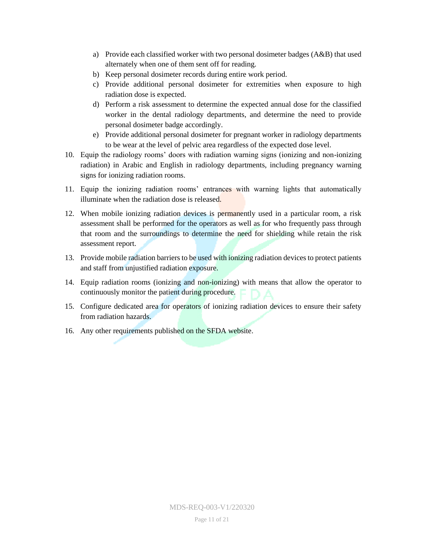- a) Provide each classified worker with two personal dosimeter badges (A&B) that used alternately when one of them sent off for reading.
- b) Keep personal dosimeter records during entire work period.
- c) Provide additional personal dosimeter for extremities when exposure to high radiation dose is expected.
- d) Perform a risk assessment to determine the expected annual dose for the classified worker in the dental radiology departments, and determine the need to provide personal dosimeter badge accordingly.
- e) Provide additional personal dosimeter for pregnant worker in radiology departments to be wear at the level of pelvic area regardless of the expected dose level.
- 10. Equip the radiology rooms' doors with radiation warning signs (ionizing and non-ionizing radiation) in Arabic and English in radiology departments, including pregnancy warning signs for ionizing radiation rooms.
- 11. Equip the ionizing radiation rooms' entrances with warning lights that automatically illuminate when the radiation dose is released.
- 12. When mobile ionizing radiation devices is permanently used in a particular room, a risk assessment shall be performed for the operators as well as for who frequently pass through that room and the surroundings to determine the need for shielding while retain the risk assessment report.
- 13. Provide mobile radiation barriers to be used with ionizing radiation devices to protect patients and staff from unjustified radiation exposure.
- 14. Equip radiation rooms (ionizing and non-ionizing) with means that allow the operator to continuously monitor the patient during procedure.
- 15. Configure dedicated area for operators of ionizing radiation devices to ensure their safety from radiation hazards.
- 16. Any other requirements published on the SFDA website.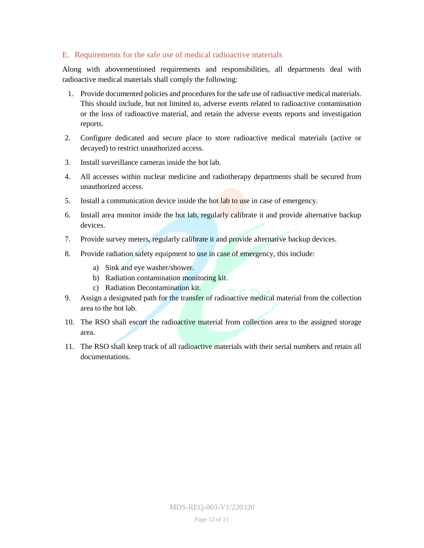#### E. Requirements for the safe use of medical radioactive materials

Along with abovementioned requirements and responsibilities, all departments deal with radioactive medical materials shall comply the following:

- 1. Provide documented policies and procedures for the safe use of radioactive medical materials. This should include, but not limited to, adverse events related to radioactive contamination or the loss of radioactive material, and retain the adverse events reports and investigation reports.
- 2. Configure dedicated and secure place to store radioactive medical materials (active or decayed) to restrict unauthorized access.
- 3. Install surveillance cameras inside the hot lab.
- 4. All accesses within nuclear medicine and radiotherapy departments shall be secured from unauthorized access.
- 5. Install a communication device inside the hot lab to use in case of emergency.
- 6. Install area monitor inside the hot lab, regularly calibrate it and provide alternative backup devices.
- 7. Provide survey meters, regularly calibrate it and provide alternative backup devices.
- 8. Provide radiation safety equipment to use in case of emergency, this include:
	- a) Sink and eye washer/shower.
	- b) Radiation contamination monitoring kit.
	- c) Radiation Decontamination kit.
- 9. Assign a designated path for the transfer of radioactive medical material from the collection area to the hot lab.
- 10. The RSO shall escort the radioactive material from collection area to the assigned storage area.
- 11. The RSO shall keep track of all radioactive materials with their serial numbers and retain all documentations.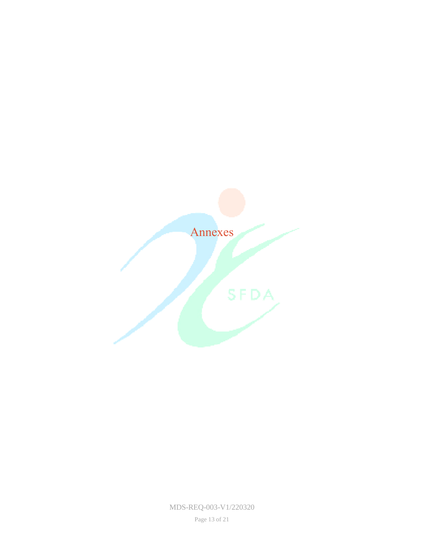<span id="page-12-0"></span>

MDS-REQ-003-V1/220320

Page 13 of 21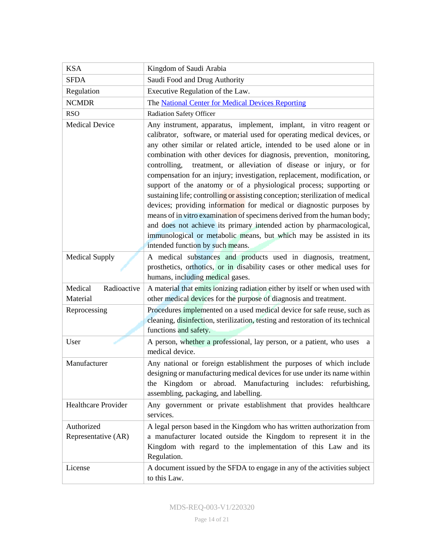<span id="page-13-0"></span>

| <b>KSA</b>                         | Kingdom of Saudi Arabia                                                                                                                                                                                                                                                                                                                                                                                                                                                                                                                                                                                                                                                                                                                                                                                                                                                                                                                              |  |  |
|------------------------------------|------------------------------------------------------------------------------------------------------------------------------------------------------------------------------------------------------------------------------------------------------------------------------------------------------------------------------------------------------------------------------------------------------------------------------------------------------------------------------------------------------------------------------------------------------------------------------------------------------------------------------------------------------------------------------------------------------------------------------------------------------------------------------------------------------------------------------------------------------------------------------------------------------------------------------------------------------|--|--|
| <b>SFDA</b>                        | Saudi Food and Drug Authority                                                                                                                                                                                                                                                                                                                                                                                                                                                                                                                                                                                                                                                                                                                                                                                                                                                                                                                        |  |  |
| Regulation                         | Executive Regulation of the Law.                                                                                                                                                                                                                                                                                                                                                                                                                                                                                                                                                                                                                                                                                                                                                                                                                                                                                                                     |  |  |
| <b>NCMDR</b>                       | The National Center for Medical Devices Reporting                                                                                                                                                                                                                                                                                                                                                                                                                                                                                                                                                                                                                                                                                                                                                                                                                                                                                                    |  |  |
| <b>RSO</b>                         | <b>Radiation Safety Officer</b>                                                                                                                                                                                                                                                                                                                                                                                                                                                                                                                                                                                                                                                                                                                                                                                                                                                                                                                      |  |  |
| <b>Medical Device</b>              | Any instrument, apparatus, implement, implant, in vitro reagent or<br>calibrator, software, or material used for operating medical devices, or<br>any other similar or related article, intended to be used alone or in<br>combination with other devices for diagnosis, prevention, monitoring,<br>treatment, or alleviation of disease or injury, or for<br>controlling,<br>compensation for an injury; investigation, replacement, modification, or<br>support of the anatomy or of a physiological process; supporting or<br>sustaining life; controlling or assisting conception; sterilization of medical<br>devices; providing information for medical or diagnostic purposes by<br>means of in vitro examination of specimens derived from the human body;<br>and does not achieve its primary intended action by pharmacological,<br>immunological or metabolic means, but which may be assisted in its<br>intended function by such means. |  |  |
| <b>Medical Supply</b>              | A medical substances and products used in diagnosis, treatment,<br>prosthetics, orthotics, or in disability cases or other medical uses for<br>humans, including medical gases.                                                                                                                                                                                                                                                                                                                                                                                                                                                                                                                                                                                                                                                                                                                                                                      |  |  |
| Radioactive<br>Medical<br>Material | A material that emits ionizing radiation either by itself or when used with<br>other medical devices for the purpose of diagnosis and treatment.                                                                                                                                                                                                                                                                                                                                                                                                                                                                                                                                                                                                                                                                                                                                                                                                     |  |  |
| Reprocessing                       | Procedures implemented on a used medical device for safe reuse, such as<br>cleaning, disinfection, sterilization, testing and restoration of its technical<br>functions and safety.                                                                                                                                                                                                                                                                                                                                                                                                                                                                                                                                                                                                                                                                                                                                                                  |  |  |
| User                               | A person, whether a professional, lay person, or a patient, who uses<br><sub>a</sub><br>medical device.                                                                                                                                                                                                                                                                                                                                                                                                                                                                                                                                                                                                                                                                                                                                                                                                                                              |  |  |
| Manufacturer                       | Any national or foreign establishment the purposes of which include<br>designing or manufacturing medical devices for use under its name within<br>abroad. Manufacturing includes: refurbishing,<br>Kingdom or<br>the<br>assembling, packaging, and labelling.                                                                                                                                                                                                                                                                                                                                                                                                                                                                                                                                                                                                                                                                                       |  |  |
| <b>Healthcare Provider</b>         | Any government or private establishment that provides healthcare<br>services.                                                                                                                                                                                                                                                                                                                                                                                                                                                                                                                                                                                                                                                                                                                                                                                                                                                                        |  |  |
| Authorized<br>Representative (AR)  | A legal person based in the Kingdom who has written authorization from<br>a manufacturer located outside the Kingdom to represent it in the<br>Kingdom with regard to the implementation of this Law and its<br>Regulation.                                                                                                                                                                                                                                                                                                                                                                                                                                                                                                                                                                                                                                                                                                                          |  |  |
| License                            | A document issued by the SFDA to engage in any of the activities subject<br>to this Law.                                                                                                                                                                                                                                                                                                                                                                                                                                                                                                                                                                                                                                                                                                                                                                                                                                                             |  |  |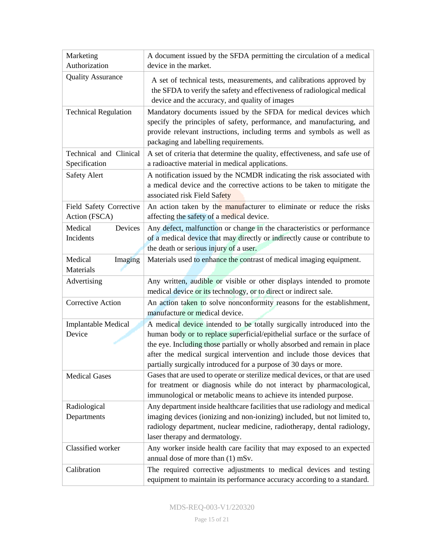| Marketing                                | A document issued by the SFDA permitting the circulation of a medical                                                                                                                                                                                                                                                                                                           |  |
|------------------------------------------|---------------------------------------------------------------------------------------------------------------------------------------------------------------------------------------------------------------------------------------------------------------------------------------------------------------------------------------------------------------------------------|--|
| Authorization                            | device in the market.                                                                                                                                                                                                                                                                                                                                                           |  |
| <b>Quality Assurance</b>                 | A set of technical tests, measurements, and calibrations approved by<br>the SFDA to verify the safety and effectiveness of radiological medical<br>device and the accuracy, and quality of images                                                                                                                                                                               |  |
| <b>Technical Regulation</b>              | Mandatory documents issued by the SFDA for medical devices which<br>specify the principles of safety, performance, and manufacturing, and<br>provide relevant instructions, including terms and symbols as well as<br>packaging and labelling requirements.                                                                                                                     |  |
| Technical and Clinical<br>Specification  | A set of criteria that determine the quality, effectiveness, and safe use of<br>a radioactive material in medical applications.                                                                                                                                                                                                                                                 |  |
| <b>Safety Alert</b>                      | A notification issued by the NCMDR indicating the risk associated with<br>a medical device and the corrective actions to be taken to mitigate the<br>associated risk Field Safety                                                                                                                                                                                               |  |
| Field Safety Corrective<br>Action (FSCA) | An action taken by the manufacturer to eliminate or reduce the risks<br>affecting the safety of a medical device.                                                                                                                                                                                                                                                               |  |
| Devices<br>Medical<br>Incidents          | Any defect, malfunction or change in the characteristics or performance<br>of a medical device that may directly or indirectly cause or contribute to<br>the death or serious injury of a user.                                                                                                                                                                                 |  |
| Medical<br>Imaging<br>Materials          | Materials used to enhance the contrast of medical imaging equipment.                                                                                                                                                                                                                                                                                                            |  |
| Advertising                              | Any written, audible or visible or other displays intended to promote<br>medical device or its technology, or to direct or indirect sale.                                                                                                                                                                                                                                       |  |
| <b>Corrective Action</b>                 | An action taken to solve nonconformity reasons for the establishment,<br>manufacture or medical device.                                                                                                                                                                                                                                                                         |  |
| Implantable Medical<br>Device            | A medical device intended to be totally surgically introduced into the<br>human body or to replace superficial/epithelial surface or the surface of<br>the eye. Including those partially or wholly absorbed and remain in place<br>after the medical surgical intervention and include those devices that<br>partially surgically introduced for a purpose of 30 days or more. |  |
| <b>Medical Gases</b>                     | Gases that are used to operate or sterilize medical devices, or that are used<br>for treatment or diagnosis while do not interact by pharmacological,<br>immunological or metabolic means to achieve its intended purpose.                                                                                                                                                      |  |
| Radiological<br>Departments              | Any department inside healthcare facilities that use radiology and medical<br>imaging devices (ionizing and non-ionizing) included, but not limited to,<br>radiology department, nuclear medicine, radiotherapy, dental radiology,<br>laser therapy and dermatology.                                                                                                            |  |
| Classified worker                        | Any worker inside health care facility that may exposed to an expected<br>annual dose of more than (1) mSv.                                                                                                                                                                                                                                                                     |  |
| Calibration                              | The required corrective adjustments to medical devices and testing<br>equipment to maintain its performance accuracy according to a standard.                                                                                                                                                                                                                                   |  |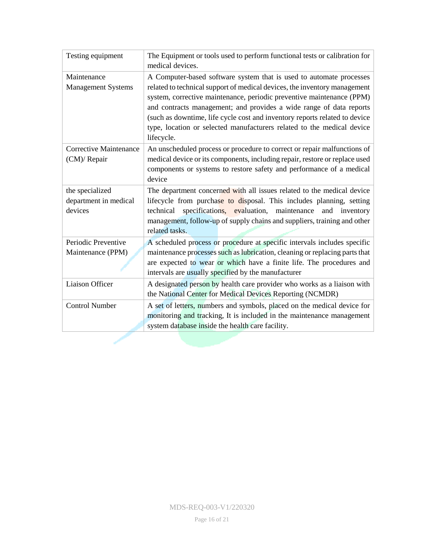<span id="page-15-0"></span>

| Testing equipment                             | The Equipment or tools used to perform functional tests or calibration for<br>medical devices.                                                                                                                                                                                                                                                                                                  |  |  |
|-----------------------------------------------|-------------------------------------------------------------------------------------------------------------------------------------------------------------------------------------------------------------------------------------------------------------------------------------------------------------------------------------------------------------------------------------------------|--|--|
| Maintenance                                   | A Computer-based software system that is used to automate processes                                                                                                                                                                                                                                                                                                                             |  |  |
| <b>Management Systems</b>                     | related to technical support of medical devices, the inventory management<br>system, corrective maintenance, periodic preventive maintenance (PPM)<br>and contracts management; and provides a wide range of data reports<br>(such as downtime, life cycle cost and inventory reports related to device<br>type, location or selected manufacturers related to the medical device<br>lifecycle. |  |  |
| <b>Corrective Maintenance</b><br>(CM)/ Repair | An unscheduled process or procedure to correct or repair malfunctions of<br>medical device or its components, including repair, restore or replace used<br>components or systems to restore safety and performance of a medical<br>device                                                                                                                                                       |  |  |
| the specialized                               | The department concerned with all issues related to the medical device                                                                                                                                                                                                                                                                                                                          |  |  |
| department in medical                         | lifecycle from purchase to disposal. This includes planning, setting                                                                                                                                                                                                                                                                                                                            |  |  |
| devices                                       | specifications, evaluation, maintenance<br>and inventory<br>technical<br>management, follow-up of supply chains and suppliers, training and other<br>related tasks.                                                                                                                                                                                                                             |  |  |
| Periodic Preventive                           | A scheduled process or procedure at specific intervals includes specific                                                                                                                                                                                                                                                                                                                        |  |  |
| Maintenance (PPM)                             | maintenance processes such as lubrication, cleaning or replacing parts that<br>are expected to wear or which have a finite life. The procedures and<br>intervals are usually specified by the manufacturer                                                                                                                                                                                      |  |  |
| Liaison Officer                               | A designated person by health care provider who works as a liaison with<br>the National Center for Medical Devices Reporting (NCMDR)                                                                                                                                                                                                                                                            |  |  |
| <b>Control Number</b>                         | A set of letters, numbers and symbols, placed on the medical device for                                                                                                                                                                                                                                                                                                                         |  |  |
|                                               | monitoring and tracking, It is included in the maintenance management                                                                                                                                                                                                                                                                                                                           |  |  |
|                                               | system database inside the health care facility.                                                                                                                                                                                                                                                                                                                                                |  |  |
|                                               |                                                                                                                                                                                                                                                                                                                                                                                                 |  |  |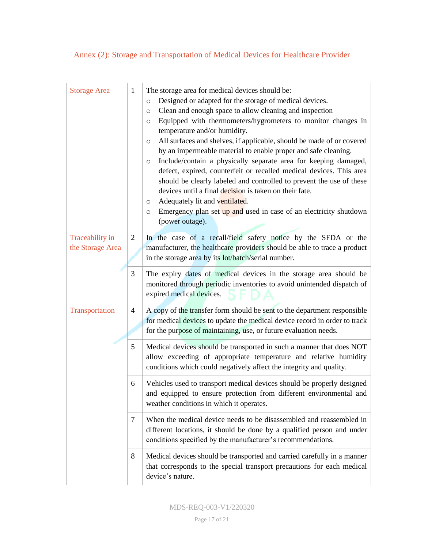## Annex (2): Storage and Transportation of Medical Devices for Healthcare Provider

| <b>Storage Area</b>                 | $\mathbf{1}$   | The storage area for medical devices should be:<br>Designed or adapted for the storage of medical devices.<br>$\circ$<br>Clean and enough space to allow cleaning and inspection<br>$\circ$<br>Equipped with thermometers/hygrometers to monitor changes in<br>O<br>temperature and/or humidity.<br>All surfaces and shelves, if applicable, should be made of or covered<br>O<br>by an impermeable material to enable proper and safe cleaning.<br>Include/contain a physically separate area for keeping damaged,<br>$\circ$<br>defect, expired, counterfeit or recalled medical devices. This area<br>should be clearly labeled and controlled to prevent the use of these<br>devices until a final decision is taken on their fate.<br>Adequately lit and ventilated.<br>O<br>Emergency plan set up and used in case of an electricity shutdown<br>O<br>(power outage). |  |
|-------------------------------------|----------------|-----------------------------------------------------------------------------------------------------------------------------------------------------------------------------------------------------------------------------------------------------------------------------------------------------------------------------------------------------------------------------------------------------------------------------------------------------------------------------------------------------------------------------------------------------------------------------------------------------------------------------------------------------------------------------------------------------------------------------------------------------------------------------------------------------------------------------------------------------------------------------|--|
| Traceability in<br>the Storage Area | $\overline{2}$ | In the case of a recall/field safety notice by the SFDA or the<br>manufacturer, the healthcare providers should be able to trace a product<br>in the storage area by its lot/batch/serial number.                                                                                                                                                                                                                                                                                                                                                                                                                                                                                                                                                                                                                                                                           |  |
|                                     | 3              | The expiry dates of medical devices in the storage area should be<br>monitored through periodic inventories to avoid unintended dispatch of<br>expired medical devices.                                                                                                                                                                                                                                                                                                                                                                                                                                                                                                                                                                                                                                                                                                     |  |
| Transportation                      | 4              | A copy of the transfer form should be sent to the department responsible<br>for medical devices to update the medical device record in order to track<br>for the purpose of maintaining, use, or future evaluation needs.                                                                                                                                                                                                                                                                                                                                                                                                                                                                                                                                                                                                                                                   |  |
|                                     | 5              | Medical devices should be transported in such a manner that does NOT<br>allow exceeding of appropriate temperature and relative humidity<br>conditions which could negatively affect the integrity and quality.                                                                                                                                                                                                                                                                                                                                                                                                                                                                                                                                                                                                                                                             |  |
|                                     | 6              | Vehicles used to transport medical devices should be properly designed<br>and equipped to ensure protection from different environmental and<br>weather conditions in which it operates.                                                                                                                                                                                                                                                                                                                                                                                                                                                                                                                                                                                                                                                                                    |  |
|                                     | $\tau$         | When the medical device needs to be disassembled and reassembled in<br>different locations, it should be done by a qualified person and under<br>conditions specified by the manufacturer's recommendations.                                                                                                                                                                                                                                                                                                                                                                                                                                                                                                                                                                                                                                                                |  |
|                                     | 8              | Medical devices should be transported and carried carefully in a manner<br>that corresponds to the special transport precautions for each medical<br>device's nature.                                                                                                                                                                                                                                                                                                                                                                                                                                                                                                                                                                                                                                                                                                       |  |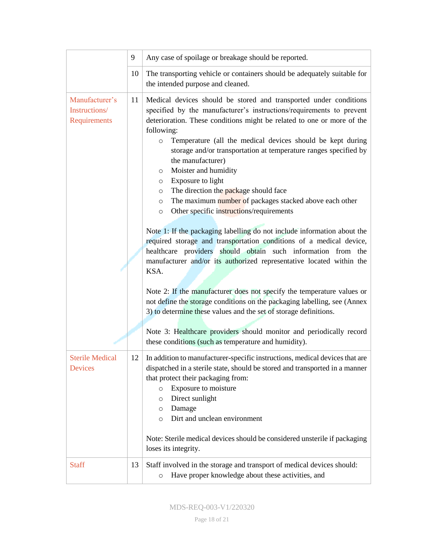|                                                 | 9  | Any case of spoilage or breakage should be reported.                                                                                                                                                                                                                                                                                                                                                                                                                                                                                                                                                                                                                                                                                                                                                                                                                                                                                                                                                                                                                                                                                                                          |  |
|-------------------------------------------------|----|-------------------------------------------------------------------------------------------------------------------------------------------------------------------------------------------------------------------------------------------------------------------------------------------------------------------------------------------------------------------------------------------------------------------------------------------------------------------------------------------------------------------------------------------------------------------------------------------------------------------------------------------------------------------------------------------------------------------------------------------------------------------------------------------------------------------------------------------------------------------------------------------------------------------------------------------------------------------------------------------------------------------------------------------------------------------------------------------------------------------------------------------------------------------------------|--|
|                                                 | 10 | The transporting vehicle or containers should be adequately suitable for<br>the intended purpose and cleaned.                                                                                                                                                                                                                                                                                                                                                                                                                                                                                                                                                                                                                                                                                                                                                                                                                                                                                                                                                                                                                                                                 |  |
| Manufacturer's<br>Instructions/<br>Requirements | 11 | Medical devices should be stored and transported under conditions<br>specified by the manufacturer's instructions/requirements to prevent<br>deterioration. These conditions might be related to one or more of the<br>following:<br>Temperature (all the medical devices should be kept during<br>$\circ$<br>storage and/or transportation at temperature ranges specified by<br>the manufacturer)<br>Moister and humidity<br>O<br>Exposure to light<br>$\circ$<br>The direction the package should face<br>$\circ$<br>The maximum number of packages stacked above each other<br>$\circ$<br>Other specific instructions/requirements<br>$\circ$<br>Note 1: If the packaging labelling do not include information about the<br>required storage and transportation conditions of a medical device,<br>healthcare providers should obtain such information from the<br>manufacturer and/or its authorized representative located within the<br>KSA.<br>Note 2: If the manufacturer does not specify the temperature values or<br>not define the storage conditions on the packaging labelling, see (Annex<br>3) to determine these values and the set of storage definitions. |  |
|                                                 |    | Note 3: Healthcare providers should monitor and periodically record<br>these conditions (such as temperature and humidity).                                                                                                                                                                                                                                                                                                                                                                                                                                                                                                                                                                                                                                                                                                                                                                                                                                                                                                                                                                                                                                                   |  |
| <b>Sterile Medical</b><br>Devices               |    | 12   In addition to manufacturer-specific instructions, medical devices that are<br>dispatched in a sterile state, should be stored and transported in a manner<br>that protect their packaging from:<br>Exposure to moisture<br>$\circ$<br>Direct sunlight<br>O<br>Damage<br>O<br>Dirt and unclean environment<br>$\circ$<br>Note: Sterile medical devices should be considered unsterile if packaging<br>loses its integrity.                                                                                                                                                                                                                                                                                                                                                                                                                                                                                                                                                                                                                                                                                                                                               |  |
| <b>Staff</b>                                    | 13 | Staff involved in the storage and transport of medical devices should:<br>Have proper knowledge about these activities, and<br>$\circ$                                                                                                                                                                                                                                                                                                                                                                                                                                                                                                                                                                                                                                                                                                                                                                                                                                                                                                                                                                                                                                        |  |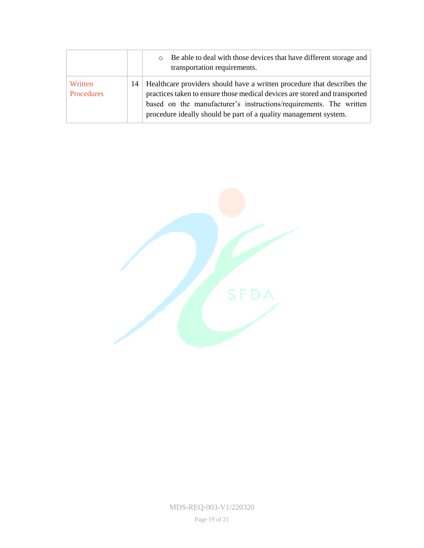|                       | Be able to deal with those devices that have different storage and<br>$\circ$<br>transportation requirements.                                                                                                                                                                                        |
|-----------------------|------------------------------------------------------------------------------------------------------------------------------------------------------------------------------------------------------------------------------------------------------------------------------------------------------|
| Written<br>Procedures | 14   Healthcare providers should have a written procedure that describes the<br>practices taken to ensure those medical devices are stored and transported<br>based on the manufacturer's instructions/requirements. The written<br>procedure ideally should be part of a quality management system. |



MDS-REQ-003-V1/220320

Page 19 of 21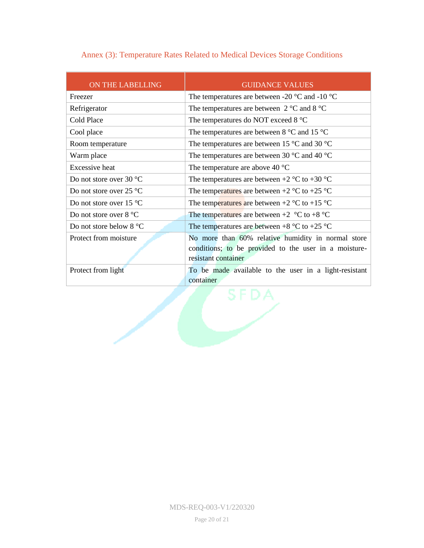| ON THE LABELLING                  | <b>GUIDANCE VALUES</b>                                                       |
|-----------------------------------|------------------------------------------------------------------------------|
| Freezer                           | The temperatures are between -20 $^{\circ}$ C and -10 $^{\circ}$ C           |
| Refrigerator                      | The temperatures are between $2^{\circ}$ C and $8^{\circ}$ C                 |
| Cold Place                        | The temperatures do NOT exceed 8 °C                                          |
| Cool place                        | The temperatures are between $8^{\circ}$ C and 15 $^{\circ}$ C               |
| Room temperature                  | The temperatures are between 15 $\degree$ C and 30 $\degree$ C               |
| Warm place                        | The temperatures are between 30 $^{\circ}$ C and 40 $^{\circ}$ C             |
| <b>Excessive</b> heat             | The temperature are above 40 $^{\circ}$ C                                    |
| Do not store over 30 °C           | The temperatures are between $+2$ °C to $+30$ °C                             |
| Do not store over $25^{\circ}$ C  | The temperatures are between $+2$ °C to $+25$ °C                             |
| Do not store over 15 $^{\circ}$ C | The temperatures are between $+2$ °C to $+15$ °C                             |
| Do not store over $8^{\circ}$ C   | The temperatures are between $+2$ °C to $+8$ °C                              |
| Do not store below $8 °C$         | The temperatures are between $+8$ °C to $+25$ °C                             |
| Protect from moisture             | No more than 60% relative humidity in normal store                           |
|                                   | conditions; to be provided to the user in a moisture-<br>resistant container |
| Protect from light                | To be made available to the user in a light-resistant                        |
|                                   | container                                                                    |

**CONTAIN** 

## <span id="page-19-0"></span>Annex (3): Temperature Rates Related to Medical Devices Storage Conditions